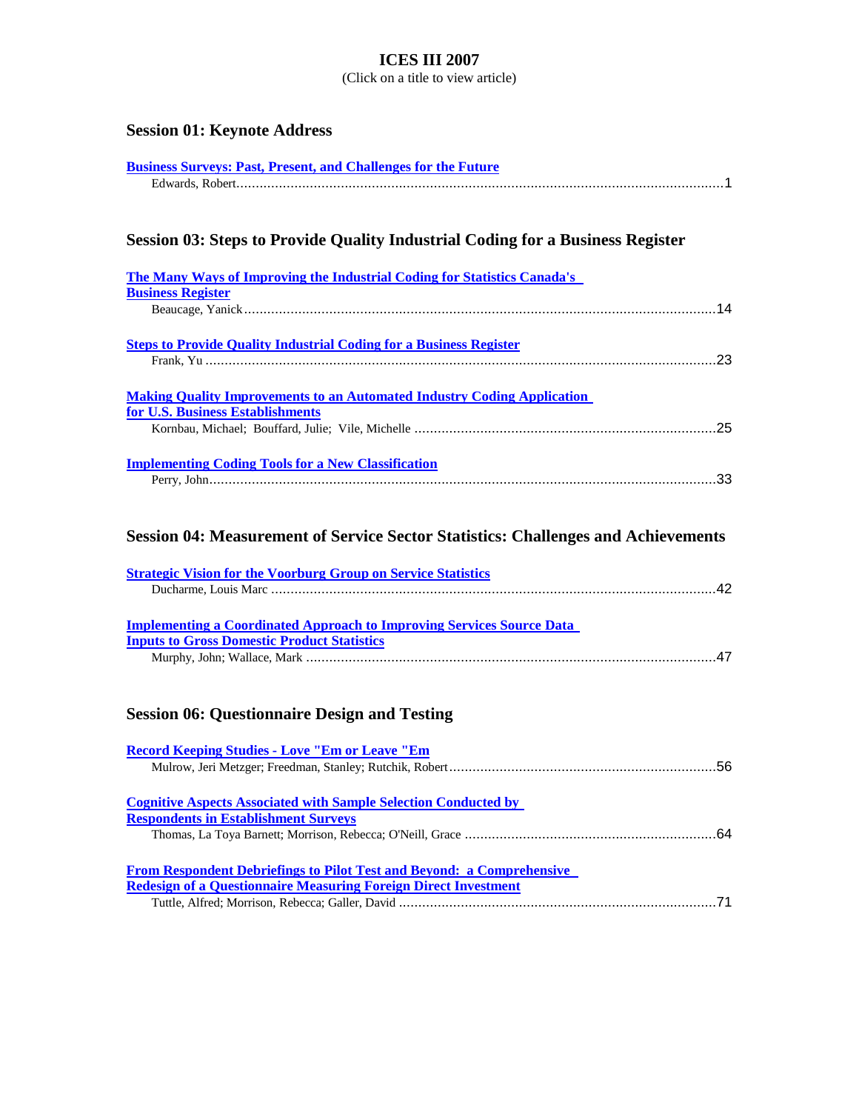(Click on a title to view article)

# **Session 01: Keynote Address**

| <b>Business Surveys: Past, Present, and Challenges for the Future</b> |  |
|-----------------------------------------------------------------------|--|
|                                                                       |  |

# **Session 03: Steps to Provide Quality Industrial Coding for a Business Register**

| The Many Ways of Improving the Industrial Coding for Statistics Canada's          |    |
|-----------------------------------------------------------------------------------|----|
| <b>Business Register</b>                                                          |    |
|                                                                                   |    |
| <b>Steps to Provide Quality Industrial Coding for a Business Register</b>         |    |
|                                                                                   | 23 |
| <b>Making Quality Improvements to an Automated Industry Coding Application</b>    |    |
| for U.S. Business Establishments                                                  |    |
|                                                                                   |    |
| <b>Implementing Coding Tools for a New Classification</b>                         |    |
|                                                                                   |    |
|                                                                                   |    |
| Session 04: Measurement of Service Sector Statistics: Challenges and Achievements |    |
| <b>Strategic Vision for the Voorburg Group on Service Statistics</b>              |    |

# **Session 06: Questionnaire Design and Testing**

| <b>Record Keeping Studies - Love "Em or Leave "Em</b>                        |  |
|------------------------------------------------------------------------------|--|
|                                                                              |  |
|                                                                              |  |
| <b>Cognitive Aspects Associated with Sample Selection Conducted by</b>       |  |
| <b>Respondents in Establishment Surveys</b>                                  |  |
|                                                                              |  |
| <b>From Respondent Debriefings to Pilot Test and Beyond: a Comprehensive</b> |  |
| <b>Redesign of a Questionnaire Measuring Foreign Direct Investment</b>       |  |
|                                                                              |  |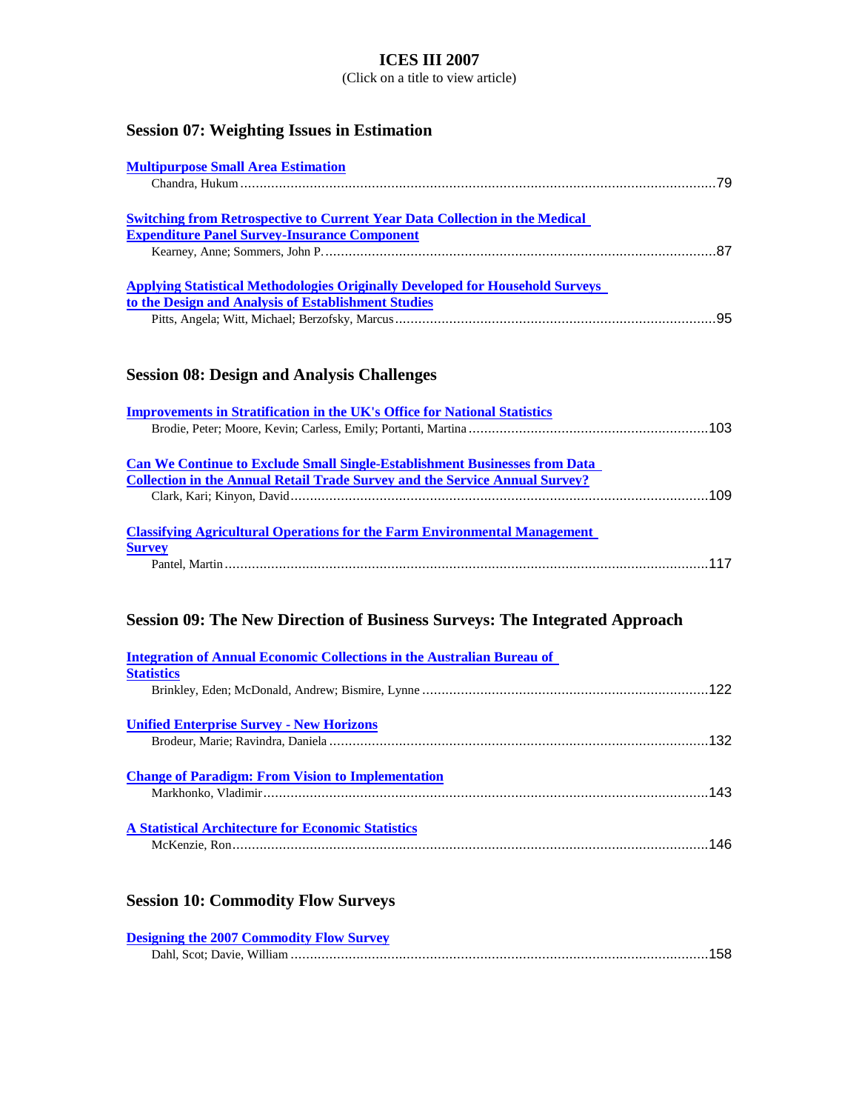(Click on a title to view article)

# **Session 07: Weighting Issues in Estimation**

| <b>Multipurpose Small Area Estimation</b>                                                                                                   |  |
|---------------------------------------------------------------------------------------------------------------------------------------------|--|
|                                                                                                                                             |  |
| <b>Switching from Retrospective to Current Year Data Collection in the Medical</b><br><b>Expenditure Panel Survey-Insurance Component</b>   |  |
|                                                                                                                                             |  |
| <b>Applying Statistical Methodologies Originally Developed for Household Surveys</b><br>to the Design and Analysis of Establishment Studies |  |
|                                                                                                                                             |  |

# **Session 08: Design and Analysis Challenges**

| <b>Improvements in Stratification in the UK's Office for National Statistics</b>   |     |
|------------------------------------------------------------------------------------|-----|
|                                                                                    |     |
|                                                                                    |     |
| <b>Can We Continue to Exclude Small Single-Establishment Businesses from Data</b>  |     |
| <b>Collection in the Annual Retail Trade Survey and the Service Annual Survey?</b> |     |
|                                                                                    | 109 |
|                                                                                    |     |
| <b>Classifying Agricultural Operations for the Farm Environmental Management</b>   |     |
| <b>Survey</b>                                                                      |     |
|                                                                                    |     |
|                                                                                    |     |

# **Session 09: The New Direction of Business Surveys: The Integrated Approach**

| <b>Integration of Annual Economic Collections in the Australian Bureau of</b> |     |
|-------------------------------------------------------------------------------|-----|
| <b>Statistics</b>                                                             |     |
|                                                                               |     |
| <b>Unified Enterprise Survey - New Horizons</b>                               |     |
|                                                                               | 132 |
| <b>Change of Paradigm: From Vision to Implementation</b>                      |     |
|                                                                               | 143 |
| <b>A Statistical Architecture for Economic Statistics</b>                     |     |
|                                                                               | 146 |

# **Session 10: Commodity Flow Surveys**

| <b>Designing the 2007 Commodity Flow Survey</b> |  |
|-------------------------------------------------|--|
|                                                 |  |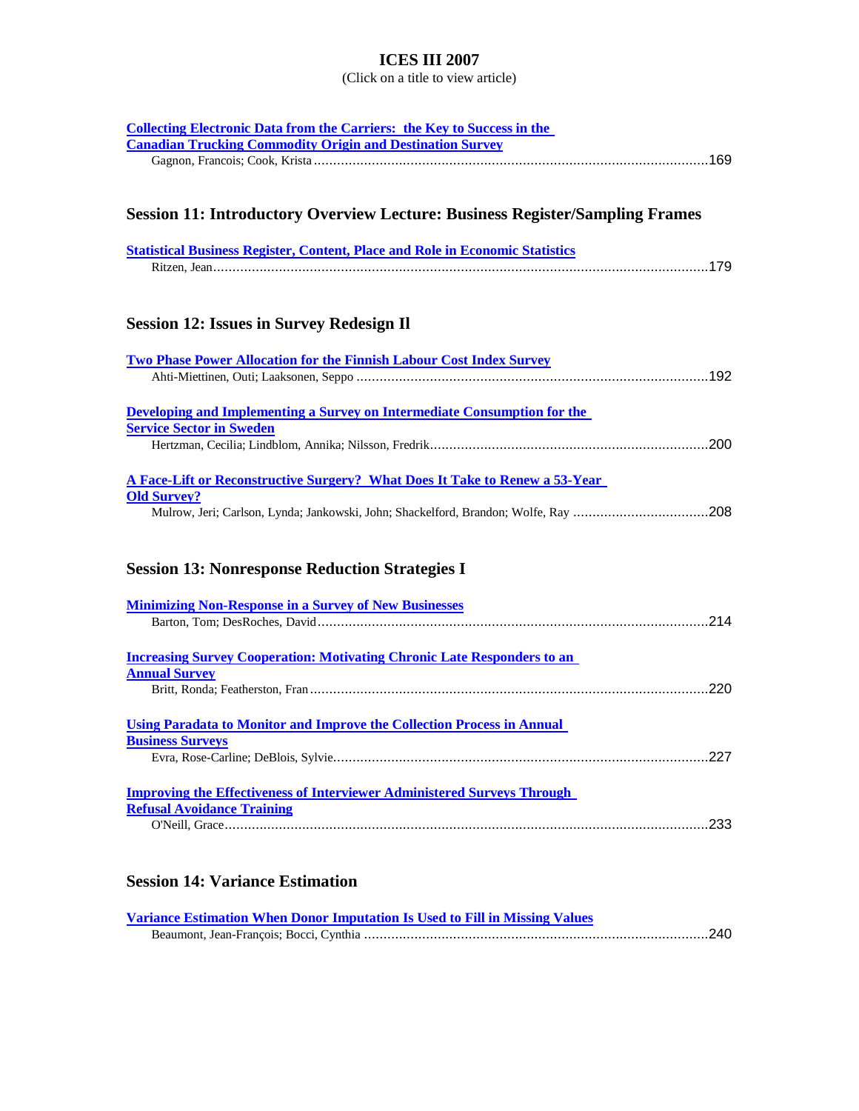(Click on a title to view article)

| <b>Collecting Electronic Data from the Carriers: the Key to Success in the</b>       |
|--------------------------------------------------------------------------------------|
| <b>Canadian Trucking Commodity Origin and Destination Survey</b>                     |
|                                                                                      |
|                                                                                      |
|                                                                                      |
| <b>Session 11: Introductory Overview Lecture: Business Register/Sampling Frames</b>  |
|                                                                                      |
| <b>Statistical Business Register, Content, Place and Role in Economic Statistics</b> |
|                                                                                      |
|                                                                                      |
|                                                                                      |
| <b>Session 12: Issues in Survey Redesign II</b>                                      |
|                                                                                      |
| <b>Two Phase Power Allocation for the Finnish Labour Cost Index Survey</b>           |
|                                                                                      |
|                                                                                      |
| Developing and Implementing a Survey on Intermediate Consumption for the             |
| <b>Service Sector in Sweden</b>                                                      |
|                                                                                      |
|                                                                                      |
| A Face-Lift or Reconstructive Surgery? What Does It Take to Renew a 53-Year          |
| <b>Old Survey?</b>                                                                   |
| Mulrow, Jeri; Carlson, Lynda; Jankowski, John; Shackelford, Brandon; Wolfe, Ray 208  |
|                                                                                      |
|                                                                                      |
| <b>Session 13: Nonresponse Reduction Strategies I</b>                                |
|                                                                                      |
| <b>Minimizing Non-Response in a Survey of New Businesses</b>                         |
|                                                                                      |
|                                                                                      |
| <b>Increasing Survey Cooperation: Motivating Chronic Late Responders to an</b>       |
| <b>Annual Survey</b>                                                                 |
|                                                                                      |
|                                                                                      |
| <b>Using Paradata to Monitor and Improve the Collection Process in Annual</b>        |
| <b>Business Surveys</b>                                                              |
|                                                                                      |
|                                                                                      |
| <b>Improving the Effectiveness of Interviewer Administered Surveys Through</b>       |
| <b>Refusal Avoidance Training</b>                                                    |
|                                                                                      |
|                                                                                      |
|                                                                                      |

# **Session 14: Variance Estimation**

| <b>Variance Estimation When Donor Imputation Is Used to Fill in Missing Values</b> |  |
|------------------------------------------------------------------------------------|--|
|                                                                                    |  |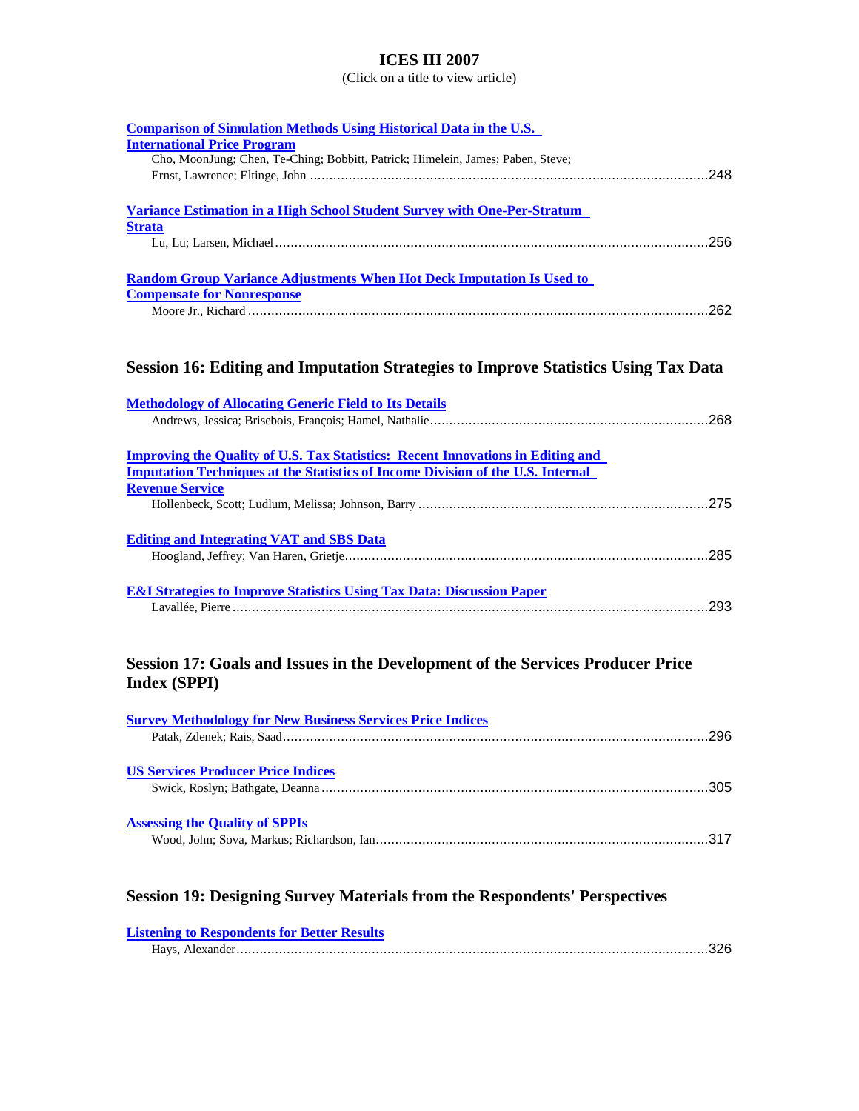| <b>Comparison of Simulation Methods Using Historical Data in the U.S.</b><br><b>International Price Program</b> |
|-----------------------------------------------------------------------------------------------------------------|
| Cho, MoonJung; Chen, Te-Ching; Bobbitt, Patrick; Himelein, James; Paben, Steve;                                 |
| <b>Variance Estimation in a High School Student Survey with One-Per-Stratum</b><br><b>Strata</b>                |
|                                                                                                                 |
| <b>Random Group Variance Adjustments When Hot Deck Imputation Is Used to</b>                                    |
| <b>Compensate for Nonresponse</b>                                                                               |
|                                                                                                                 |
| Session 16: Editing and Imputation Strategies to Improve Statistics Using Tax Data                              |
| <b>Methodology of Allocating Generic Field to Its Details</b>                                                   |
|                                                                                                                 |
| <b>Improving the Quality of U.S. Tax Statistics: Recent Innovations in Editing and</b>                          |
| <b>Imputation Techniques at the Statistics of Income Division of the U.S. Internal</b>                          |
| <b>Revenue Service</b>                                                                                          |
|                                                                                                                 |
| <b>Editing and Integrating VAT and SBS Data</b>                                                                 |
|                                                                                                                 |
| <b>E&amp;I Strategies to Improve Statistics Using Tax Data: Discussion Paper</b>                                |
|                                                                                                                 |
|                                                                                                                 |
| Session 17: Goals and Issues in the Development of the Services Producer Price<br><b>Index (SPPI)</b>           |
|                                                                                                                 |
| <b>Survey Methodology for New Business Services Price Indices</b>                                               |
| <b>US Services Producer Price Indices</b>                                                                       |
|                                                                                                                 |
| <b>Assessing the Quality of SPPIs</b>                                                                           |
|                                                                                                                 |
| <b>Session 19: Designing Survey Materials from the Respondents' Perspectives</b>                                |
|                                                                                                                 |

| <b>Listening to Respondents for Better Results</b> |  |
|----------------------------------------------------|--|
|                                                    |  |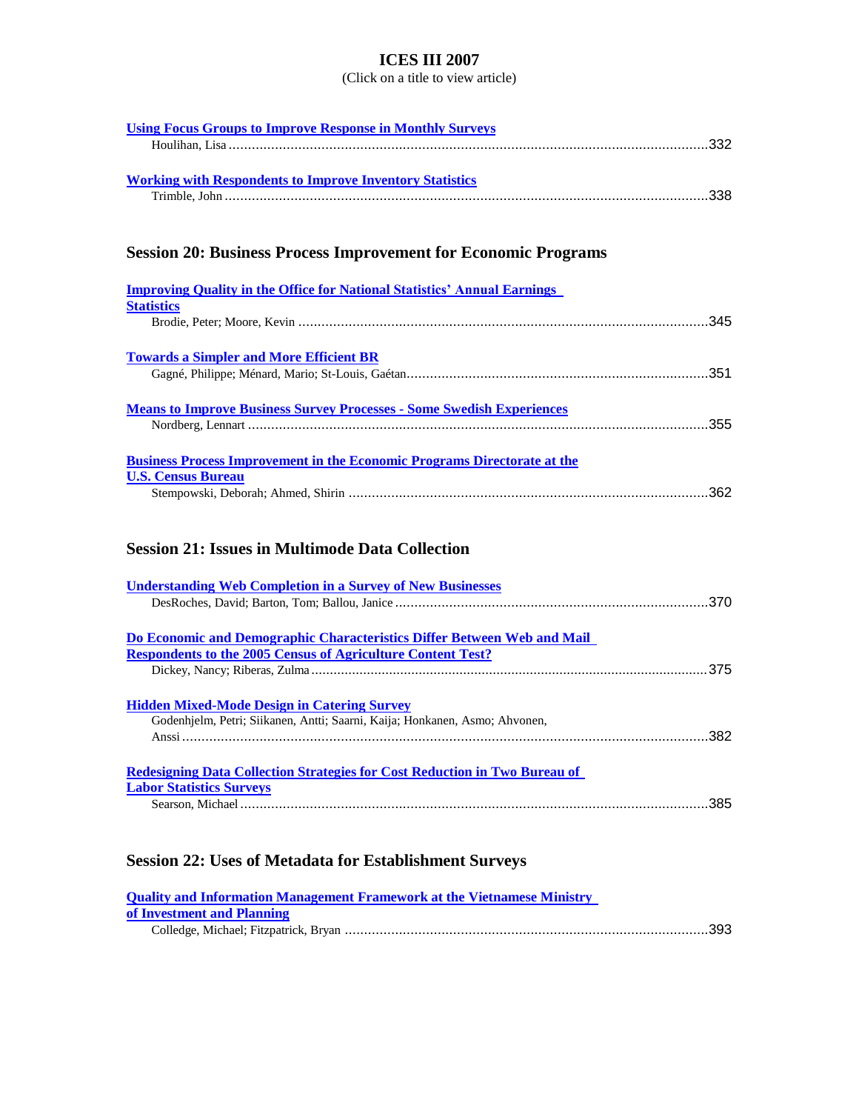(Click on a title to view article)

| <b>Using Focus Groups to Improve Response in Monthly Surveys</b>                |
|---------------------------------------------------------------------------------|
|                                                                                 |
|                                                                                 |
| <b>Working with Respondents to Improve Inventory Statistics</b>                 |
|                                                                                 |
|                                                                                 |
|                                                                                 |
| <b>Session 20: Business Process Improvement for Economic Programs</b>           |
|                                                                                 |
| <b>Improving Quality in the Office for National Statistics' Annual Earnings</b> |
| <b>Statistics</b>                                                               |
|                                                                                 |
|                                                                                 |
| <b>Towards a Simpler and More Efficient BR</b>                                  |
|                                                                                 |
|                                                                                 |
| <b>Means to Improve Business Survey Processes - Some Swedish Experiences</b>    |
|                                                                                 |
|                                                                                 |
| <b>Business Process Improvement in the Economic Programs Directorate at the</b> |
| <b>U.S. Census Bureau</b>                                                       |
|                                                                                 |
|                                                                                 |
|                                                                                 |
| <b>Session 21: Issues in Multimode Data Collection</b>                          |
|                                                                                 |
| <b>Understanding Web Completion in a Survey of New Businesses</b>               |
|                                                                                 |
|                                                                                 |
| Do Economic and Demographic Characteristics Differ Between Web and Mail         |
| <b>Respondents to the 2005 Census of Agriculture Content Test?</b>              |
|                                                                                 |
|                                                                                 |
| <b>Hidden Mixed-Mode Design in Catering Survey</b>                              |
| Godenhjelm, Petri; Siikanen, Antti; Saarni, Kaija; Honkanen, Asmo; Ahvonen,     |
|                                                                                 |
|                                                                                 |
| Redesigning Data Collection Strategies for Cost Reduction in Two Bureau of      |
| <b>Labor Statistics Surveys</b>                                                 |
|                                                                                 |
|                                                                                 |

# **Session 22: Uses of Metadata for Establishment Surveys**

| <b>Quality and Information Management Framework at the Vietnamese Ministry</b> |  |
|--------------------------------------------------------------------------------|--|
| of Investment and Planning                                                     |  |
|                                                                                |  |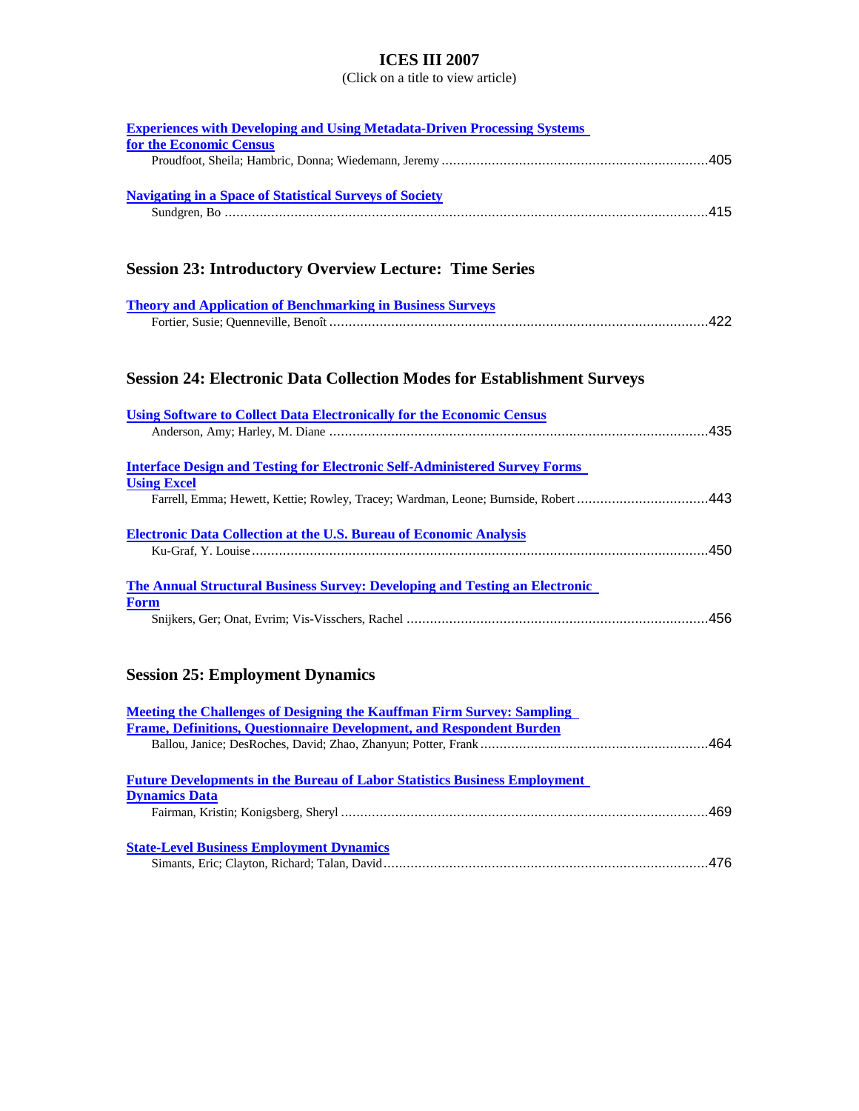| <b>Experiences with Developing and Using Metadata-Driven Processing Systems</b>                         |
|---------------------------------------------------------------------------------------------------------|
| for the Economic Census                                                                                 |
|                                                                                                         |
| <b>Navigating in a Space of Statistical Surveys of Society</b>                                          |
|                                                                                                         |
|                                                                                                         |
| <b>Session 23: Introductory Overview Lecture: Time Series</b>                                           |
| <b>Theory and Application of Benchmarking in Business Surveys</b>                                       |
|                                                                                                         |
| <b>Session 24: Electronic Data Collection Modes for Establishment Surveys</b>                           |
| <b>Using Software to Collect Data Electronically for the Economic Census</b>                            |
|                                                                                                         |
| <b>Interface Design and Testing for Electronic Self-Administered Survey Forms</b><br><b>Using Excel</b> |
| Farrell, Emma; Hewett, Kettie; Rowley, Tracey; Wardman, Leone; Burnside, Robert 443                     |
| <b>Electronic Data Collection at the U.S. Bureau of Economic Analysis</b>                               |
| <b>The Annual Structural Business Survey: Developing and Testing an Electronic</b>                      |
| <b>Form</b>                                                                                             |
|                                                                                                         |
| <b>Session 25: Employment Dynamics</b>                                                                  |
|                                                                                                         |
| <b>Meeting the Challenges of Designing the Kauffman Firm Survey: Sampling</b>                           |
| Frame, Definitions, Questionnaire Development, and Respondent Burden                                    |
| .464<br>Ballou, Janice; DesRoches, David; Zhao, Zhanyun; Potter, Frank                                  |
| <b>Future Developments in the Bureau of Labor Statistics Business Employment</b>                        |
| <b>Dynamics Data</b>                                                                                    |
|                                                                                                         |
| <b>State-Level Business Employment Dynamics</b>                                                         |
|                                                                                                         |
|                                                                                                         |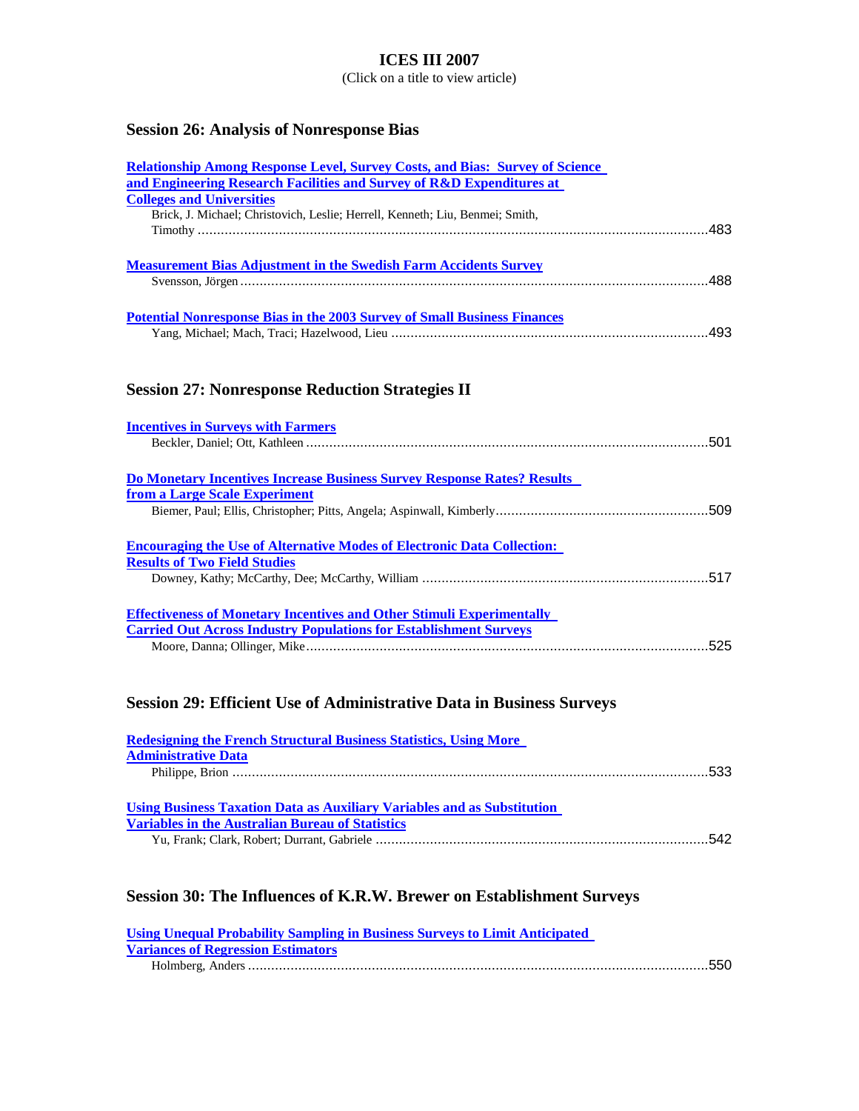(Click on a title to view article)

# **Session 26: Analysis of Nonresponse Bias**

| <b>Relationship Among Response Level, Survey Costs, and Bias: Survey of Science</b> |  |
|-------------------------------------------------------------------------------------|--|
| and Engineering Research Facilities and Survey of R&D Expenditures at               |  |
| <b>Colleges and Universities</b>                                                    |  |
| Brick, J. Michael; Christovich, Leslie; Herrell, Kenneth; Liu, Benmei; Smith,       |  |
|                                                                                     |  |
| <b>Measurement Bias Adjustment in the Swedish Farm Accidents Survey</b>             |  |
|                                                                                     |  |
|                                                                                     |  |
| <b>Potential Nonresponse Bias in the 2003 Survey of Small Business Finances</b>     |  |
|                                                                                     |  |
| <b>Session 27: Nonresponse Reduction Strategies II</b>                              |  |
| <b>Incentives in Surveys with Farmers</b>                                           |  |
|                                                                                     |  |
|                                                                                     |  |
| <b>Do Monetary Incentives Increase Business Survey Response Rates? Results</b>      |  |
| from a Large Scale Experiment                                                       |  |
|                                                                                     |  |
| <b>Encouraging the Use of Alternative Modes of Electronic Data Collection:</b>      |  |
| <b>Results of Two Field Studies</b>                                                 |  |
|                                                                                     |  |
| <b>Effectiveness of Monetary Incentives and Other Stimuli Experimentally</b>        |  |
| <b>Carried Out Across Industry Populations for Establishment Surveys</b>            |  |
|                                                                                     |  |
| <b>Session 29: Efficient Use of Administrative Data in Business Surveys</b>         |  |
| <b>Redesigning the French Structural Business Statistics, Using More</b>            |  |
| <b>Administrative Data</b>                                                          |  |
|                                                                                     |  |
| <b>Using Business Taxation Data as Auxiliary Variables and as Substitution</b>      |  |
| <b>Variables in the Australian Bureau of Statistics</b>                             |  |
|                                                                                     |  |

# **Session 30: The Influences of K.R.W. Brewer on Establishment Surveys**

| <b>Using Unequal Probability Sampling in Business Surveys to Limit Anticipated</b> |  |
|------------------------------------------------------------------------------------|--|
| <b>Variances of Regression Estimators</b>                                          |  |
|                                                                                    |  |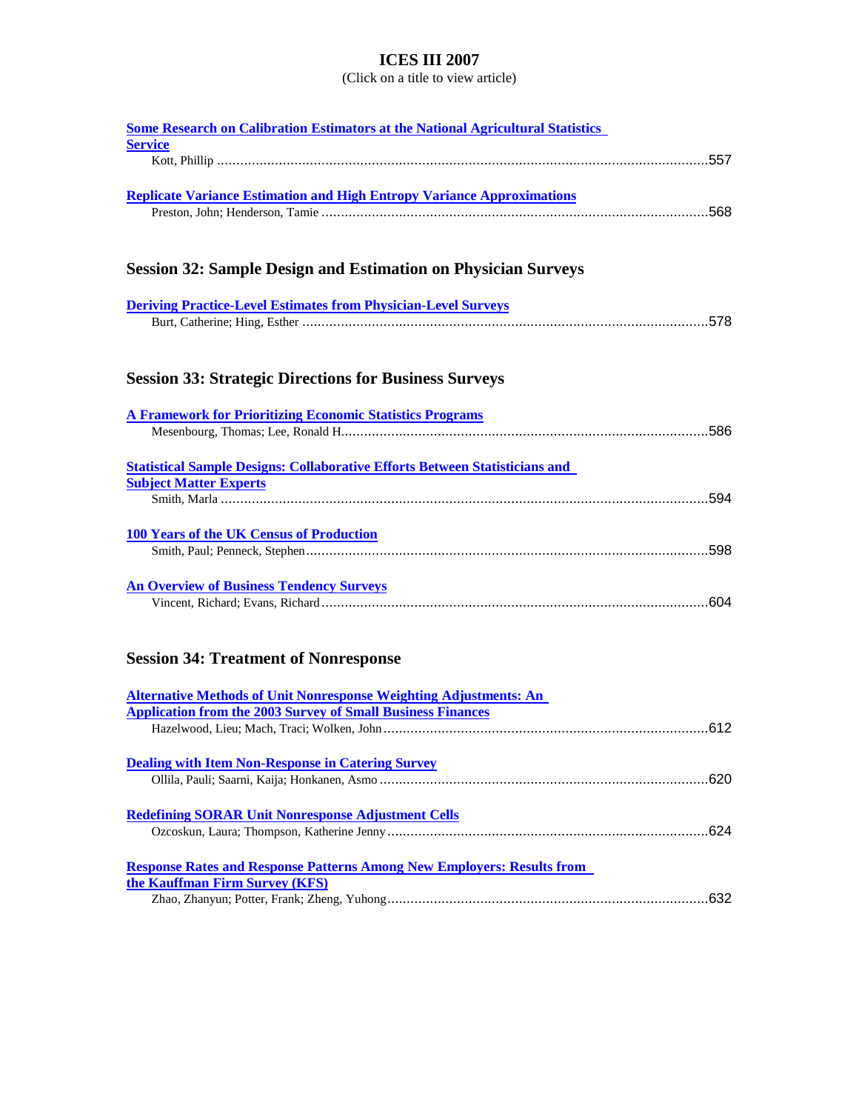| <b>Some Research on Calibration Estimators at the National Agricultural Statistics</b> |
|----------------------------------------------------------------------------------------|
| <b>Service</b>                                                                         |
|                                                                                        |
|                                                                                        |
| <b>Replicate Variance Estimation and High Entropy Variance Approximations</b>          |
|                                                                                        |
|                                                                                        |
|                                                                                        |
| <b>Session 32: Sample Design and Estimation on Physician Surveys</b>                   |
|                                                                                        |
| <b>Deriving Practice-Level Estimates from Physician-Level Surveys</b>                  |
|                                                                                        |
|                                                                                        |
|                                                                                        |
| <b>Session 33: Strategic Directions for Business Surveys</b>                           |
|                                                                                        |
|                                                                                        |
| <b>A Framework for Prioritizing Economic Statistics Programs</b>                       |
|                                                                                        |
|                                                                                        |
| <b>Statistical Sample Designs: Collaborative Efforts Between Statisticians and</b>     |
| <b>Subject Matter Experts</b>                                                          |
|                                                                                        |
|                                                                                        |
| <b>100 Years of the UK Census of Production</b>                                        |
|                                                                                        |
|                                                                                        |
| <b>An Overview of Business Tendency Surveys</b>                                        |
|                                                                                        |
|                                                                                        |
|                                                                                        |
| <b>Session 34: Treatment of Nonresponse</b>                                            |
|                                                                                        |
| <b>Alternative Methods of Unit Nonresponse Weighting Adjustments: An</b>               |
| <b>Application from the 2003 Survey of Small Business Finances</b>                     |
|                                                                                        |
|                                                                                        |
| <b>Dealing with Item Non-Response in Catering Survey</b>                               |
|                                                                                        |
|                                                                                        |
| <b>Redefining SORAR Unit Nonresponse Adjustment Cells</b>                              |
|                                                                                        |
|                                                                                        |
| <b>Response Rates and Response Patterns Among New Employers: Results from</b>          |
| the Kauffman Firm Survey (KFS)                                                         |
|                                                                                        |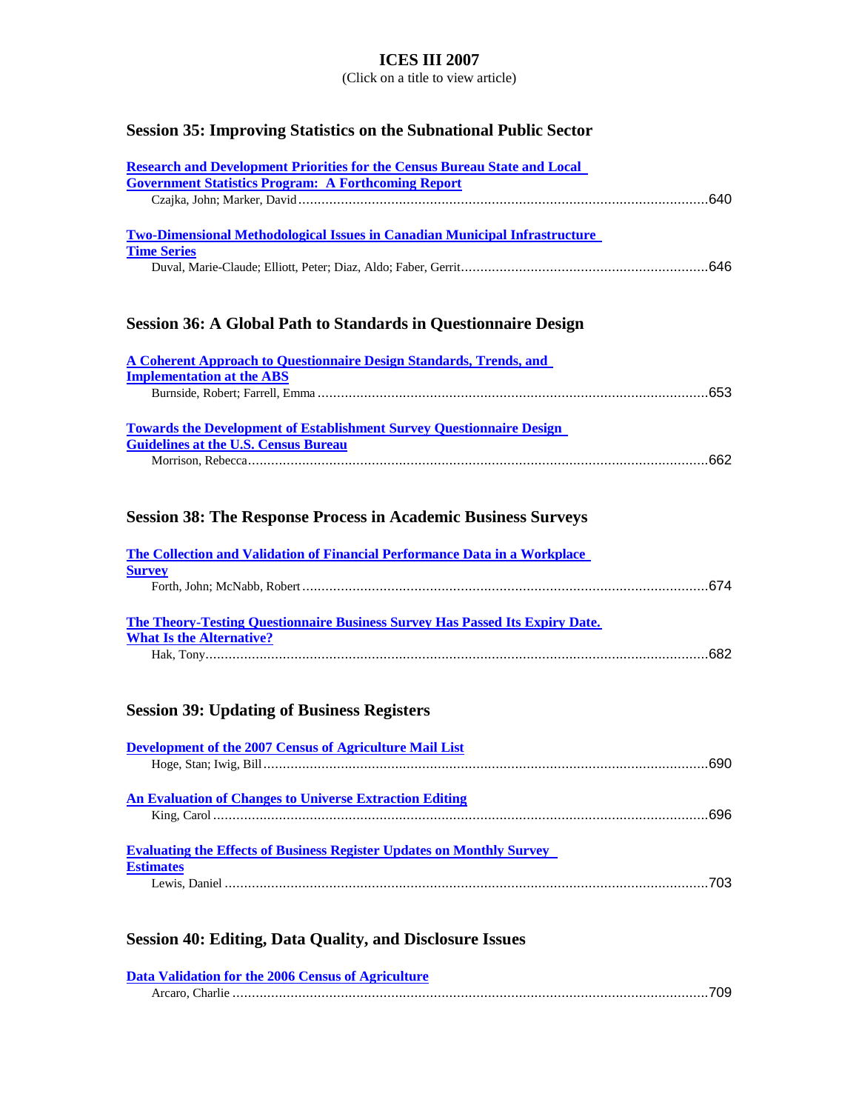(Click on a title to view article)

### **Session 35: Improving Statistics on the Subnational Public Sector**

| <b>Research and Development Priorities for the Census Bureau State and Local</b>  |      |
|-----------------------------------------------------------------------------------|------|
| <b>Government Statistics Program: A Forthcoming Report</b>                        |      |
|                                                                                   | 640. |
|                                                                                   |      |
| <b>Two-Dimensional Methodological Issues in Canadian Municipal Infrastructure</b> |      |
| <b>Time Series</b>                                                                |      |
|                                                                                   |      |
|                                                                                   |      |

### **Session 36: A Global Path to Standards in Questionnaire Design**

| A Coherent Approach to Questionnaire Design Standards, Trends, and          |       |
|-----------------------------------------------------------------------------|-------|
| <b>Implementation at the ABS</b>                                            |       |
|                                                                             |       |
|                                                                             |       |
| <b>Towards the Development of Establishment Survey Questionnaire Design</b> |       |
| <b>Guidelines at the U.S. Census Bureau</b>                                 |       |
|                                                                             | - 662 |

### **Session 38: The Response Process in Academic Business Surveys**

| The Collection and Validation of Financial Performance Data in a Workplace          |  |
|-------------------------------------------------------------------------------------|--|
| <b>Survey</b>                                                                       |  |
|                                                                                     |  |
|                                                                                     |  |
| <b>The Theory-Testing Ouestionnaire Business Survey Has Passed Its Expiry Date.</b> |  |
| <b>What Is the Alternative?</b>                                                     |  |
|                                                                                     |  |

### **Session 39: Updating of Business Registers**

| Development of the 2007 Census of Agriculture Mail List                      |  |
|------------------------------------------------------------------------------|--|
|                                                                              |  |
|                                                                              |  |
| <b>An Evaluation of Changes to Universe Extraction Editing</b>               |  |
|                                                                              |  |
|                                                                              |  |
| <b>Evaluating the Effects of Business Register Updates on Monthly Survey</b> |  |
| <b>Estimates</b>                                                             |  |
|                                                                              |  |

# **Session 40: Editing, Data Quality, and Disclosure Issues**

| Data Validation for the 2006 Census of Agriculture |  |
|----------------------------------------------------|--|
|                                                    |  |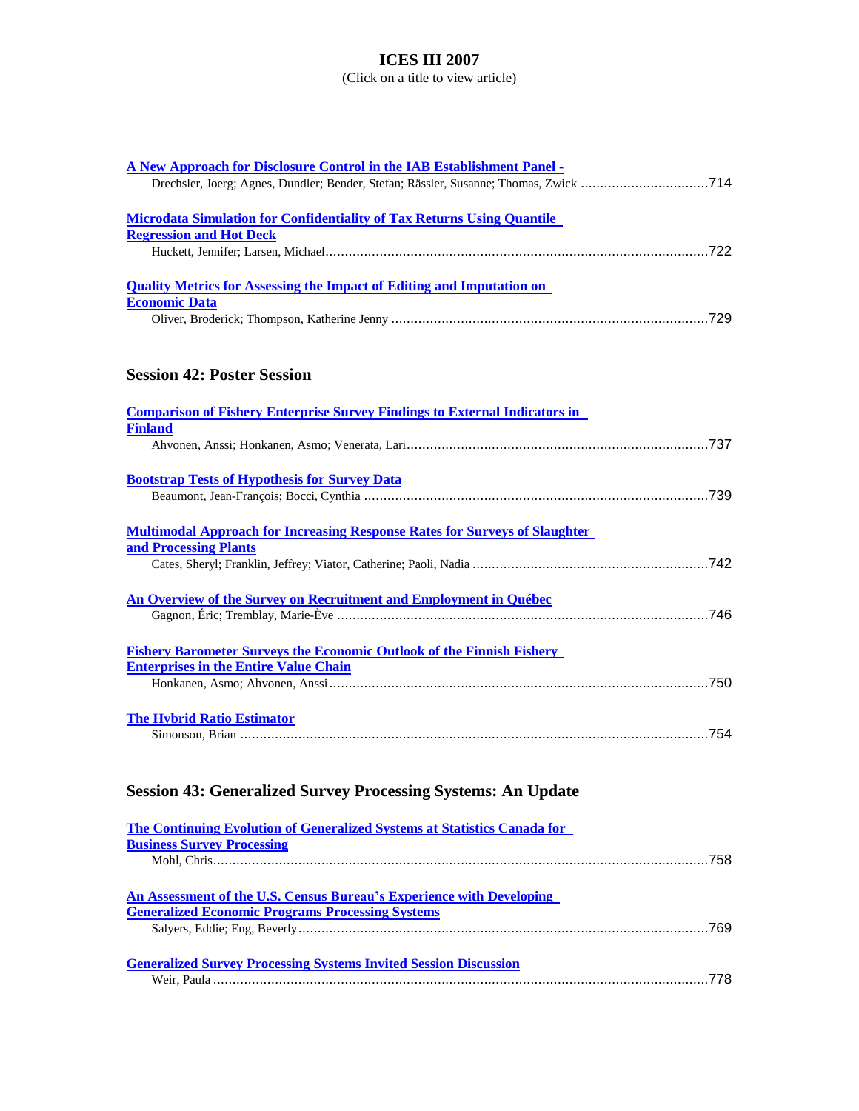(Click on a title to view article)

| A New Approach for Disclosure Control in the IAB Establishment Panel -                |  |
|---------------------------------------------------------------------------------------|--|
| Drechsler, Joerg; Agnes, Dundler; Bender, Stefan; Rässler, Susanne; Thomas, Zwick 714 |  |
| <b>Microdata Simulation for Confidentiality of Tax Returns Using Quantile</b>         |  |
| <b>Regression and Hot Deck</b>                                                        |  |
|                                                                                       |  |
| <b>Quality Metrics for Assessing the Impact of Editing and Imputation on</b>          |  |
| <b>Economic Data</b>                                                                  |  |
|                                                                                       |  |
| <b>Session 42: Poster Session</b>                                                     |  |
| <b>Comparison of Fishery Enterprise Survey Findings to External Indicators in</b>     |  |
| <b>Finland</b>                                                                        |  |
|                                                                                       |  |
| <b>Bootstrap Tests of Hypothesis for Survey Data</b>                                  |  |
|                                                                                       |  |
| <b>Multimodal Approach for Increasing Response Rates for Surveys of Slaughter</b>     |  |
| and Processing Plants                                                                 |  |
|                                                                                       |  |
| An Overview of the Survey on Recruitment and Employment in Québec                     |  |
|                                                                                       |  |
| <b>Fishery Barometer Surveys the Economic Outlook of the Finnish Fishery</b>          |  |
| <b>Enterprises in the Entire Value Chain</b>                                          |  |
|                                                                                       |  |
| <b>The Hybrid Ratio Estimator</b>                                                     |  |
|                                                                                       |  |
| <b>Session 43: Generalized Survey Processing Systems: An Update</b>                   |  |
| <b>The Continuing Evolution of Generalized Systems at Statistics Canada for</b>       |  |
| <b>Business Survey Processing</b>                                                     |  |
|                                                                                       |  |
| An Assessment of the U.S. Census Bureau's Experience with Developing                  |  |
| <b>Generalized Economic Programs Processing Systems</b>                               |  |
|                                                                                       |  |
| <b>Generalized Survey Processing Systems Invited Session Discussion</b>               |  |

Weir, Paula ................................................................................................................................778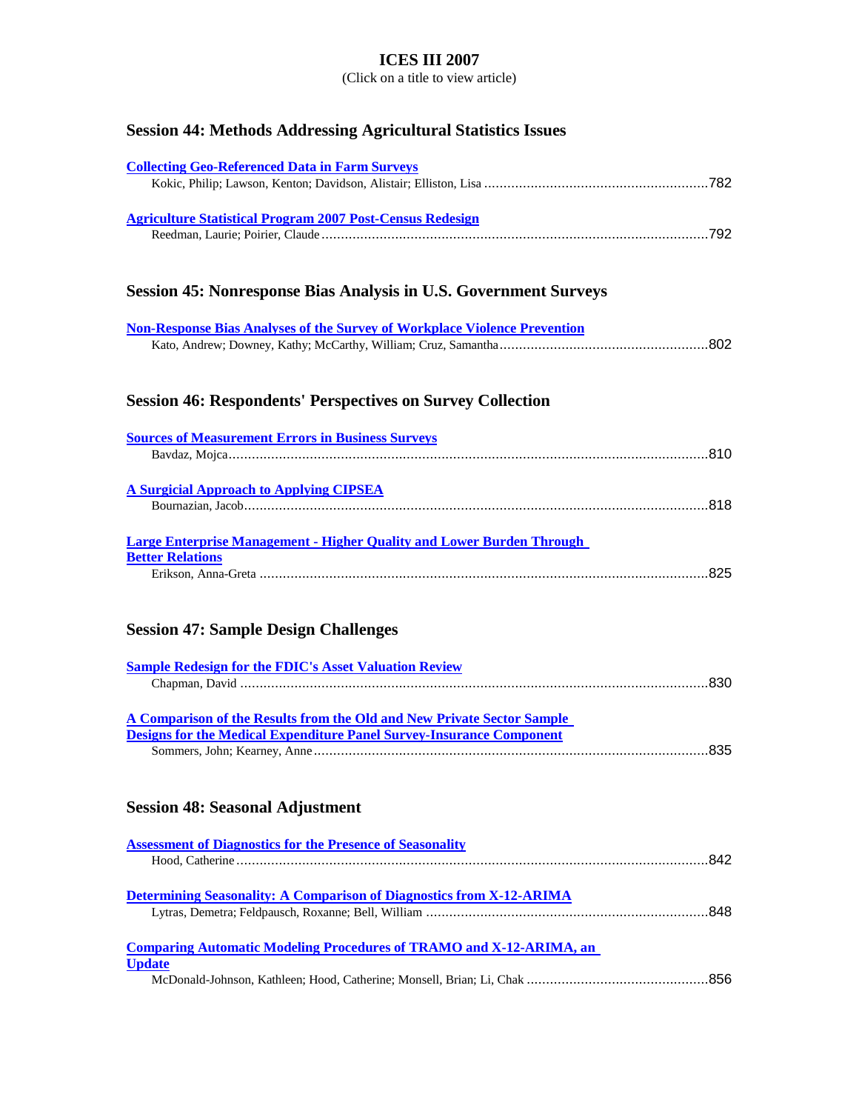(Click on a title to view article)

# **Session 44: Methods Addressing Agricultural Statistics Issues**

| <b>Collecting Geo-Referenced Data in Farm Surveys</b>                                                                                                 |  |
|-------------------------------------------------------------------------------------------------------------------------------------------------------|--|
| <b>Agriculture Statistical Program 2007 Post-Census Redesign</b>                                                                                      |  |
| <b>Session 45: Nonresponse Bias Analysis in U.S. Government Surveys</b>                                                                               |  |
| <b>Non-Response Bias Analyses of the Survey of Workplace Violence Prevention</b>                                                                      |  |
| <b>Session 46: Respondents' Perspectives on Survey Collection</b>                                                                                     |  |
| <b>Sources of Measurement Errors in Business Surveys</b>                                                                                              |  |
| <b>A Surgicial Approach to Applying CIPSEA</b>                                                                                                        |  |
| <b>Large Enterprise Management - Higher Quality and Lower Burden Through</b><br><b>Better Relations</b>                                               |  |
| <b>Session 47: Sample Design Challenges</b>                                                                                                           |  |
| <b>Sample Redesign for the FDIC's Asset Valuation Review</b>                                                                                          |  |
| A Comparison of the Results from the Old and New Private Sector Sample<br><b>Designs for the Medical Expenditure Panel Survey-Insurance Component</b> |  |
| <b>Session 48: Seasonal Adjustment</b>                                                                                                                |  |
| <b>Assessment of Diagnostics for the Presence of Seasonality</b>                                                                                      |  |
| <b>Determining Seasonality: A Comparison of Diagnostics from X-12-ARIMA</b>                                                                           |  |
| <b>Comparing Automatic Modeling Procedures of TRAMO and X-12-ARIMA, an</b><br><b>Update</b>                                                           |  |
|                                                                                                                                                       |  |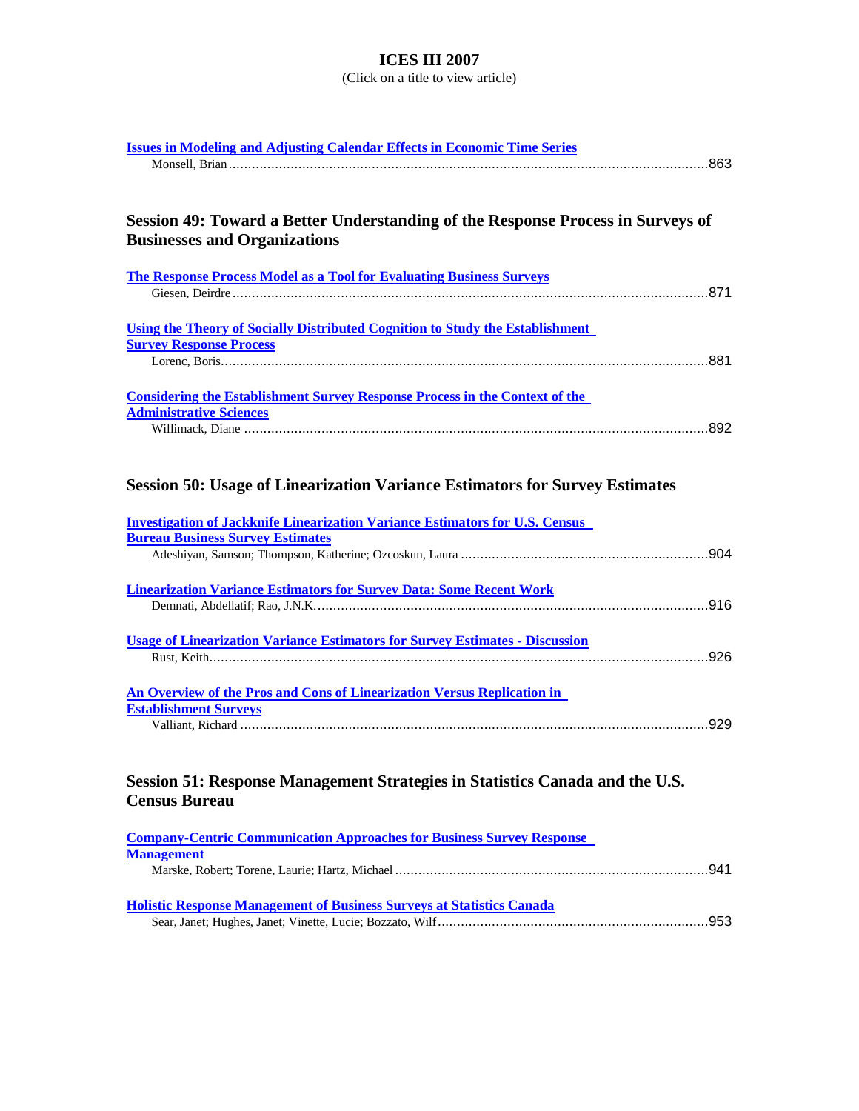| <b>Issues in Modeling and Adjusting Calendar Effects in Economic Time Series</b>     |  |
|--------------------------------------------------------------------------------------|--|
|                                                                                      |  |
|                                                                                      |  |
| Session 49: Toward a Better Understanding of the Response Process in Surveys of      |  |
| <b>Businesses and Organizations</b>                                                  |  |
|                                                                                      |  |
| <b>The Response Process Model as a Tool for Evaluating Business Surveys</b>          |  |
|                                                                                      |  |
|                                                                                      |  |
| <b>Using the Theory of Socially Distributed Cognition to Study the Establishment</b> |  |
| <b>Survey Response Process</b>                                                       |  |
|                                                                                      |  |
| <b>Considering the Establishment Survey Response Process in the Context of the</b>   |  |
| <b>Administrative Sciences</b>                                                       |  |
|                                                                                      |  |
|                                                                                      |  |
|                                                                                      |  |
| <b>Session 50: Usage of Linearization Variance Estimators for Survey Estimates</b>   |  |
| <b>Investigation of Jackknife Linearization Variance Estimators for U.S. Census</b>  |  |
| <b>Bureau Business Survey Estimates</b>                                              |  |
|                                                                                      |  |
|                                                                                      |  |
| <b>Linearization Variance Estimators for Survey Data: Some Recent Work</b>           |  |
|                                                                                      |  |
| <b>Usage of Linearization Variance Estimators for Survey Estimates - Discussion</b>  |  |
|                                                                                      |  |
|                                                                                      |  |
| An Overview of the Pros and Cons of Linearization Versus Replication in              |  |
| <b>Establishment Surveys</b>                                                         |  |
|                                                                                      |  |
|                                                                                      |  |
| Session 51: Response Management Strategies in Statistics Canada and the U.S.         |  |
| <b>Census Bureau</b>                                                                 |  |
|                                                                                      |  |
| <b>Company-Centric Communication Approaches for Business Survey Response</b>         |  |
| <b>Management</b>                                                                    |  |
|                                                                                      |  |
| <b>Holistic Response Management of Business Surveys at Statistics Canada</b>         |  |
|                                                                                      |  |
|                                                                                      |  |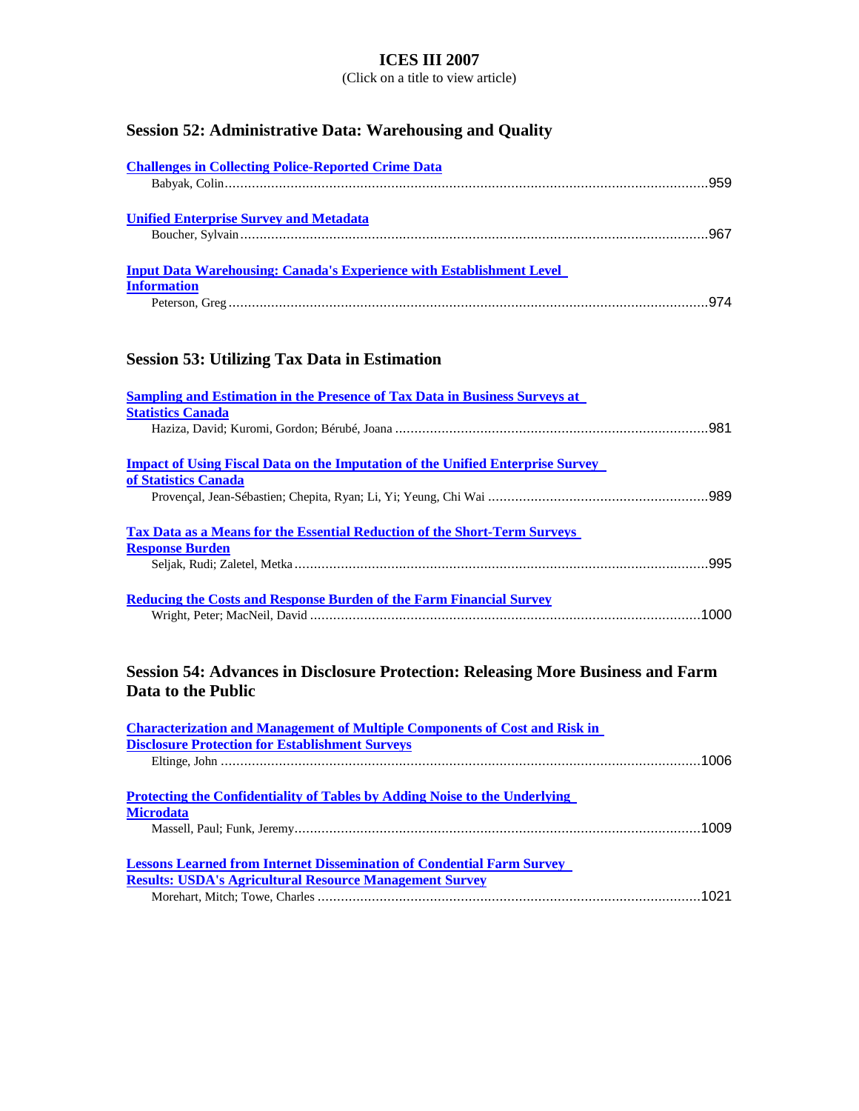(Click on a title to view article)

# **Session 52: Administrative Data: Warehousing and Quality**

| <b>Challenges in Collecting Police-Reported Crime Data</b>                  |  |
|-----------------------------------------------------------------------------|--|
|                                                                             |  |
|                                                                             |  |
| <b>Unified Enterprise Survey and Metadata</b>                               |  |
|                                                                             |  |
|                                                                             |  |
| <b>Input Data Warehousing: Canada's Experience with Establishment Level</b> |  |
| <b>Information</b>                                                          |  |
|                                                                             |  |

# **Session 53: Utilizing Tax Data in Estimation**

| <b>Sampling and Estimation in the Presence of Tax Data in Business Surveys at</b><br><b>Statistics Canada</b> |      |
|---------------------------------------------------------------------------------------------------------------|------|
|                                                                                                               |      |
| <b>Impact of Using Fiscal Data on the Imputation of the Unified Enterprise Survey</b><br>of Statistics Canada |      |
|                                                                                                               |      |
| <b>Tax Data as a Means for the Essential Reduction of the Short-Term Surveys</b><br><b>Response Burden</b>    |      |
|                                                                                                               |      |
| <b>Reducing the Costs and Response Burden of the Farm Financial Survey</b>                                    | 1000 |

### **Session 54: Advances in Disclosure Protection: Releasing More Business and Farm Data to the Public**

| <b>Characterization and Management of Multiple Components of Cost and Risk in</b> |  |
|-----------------------------------------------------------------------------------|--|
| <b>Disclosure Protection for Establishment Surveys</b>                            |  |
|                                                                                   |  |
|                                                                                   |  |
| <b>Protecting the Confidentiality of Tables by Adding Noise to the Underlying</b> |  |
| <b>Microdata</b>                                                                  |  |
|                                                                                   |  |
|                                                                                   |  |
| <b>Lessons Learned from Internet Dissemination of Condential Farm Survey</b>      |  |
| <b>Results: USDA's Agricultural Resource Management Survey</b>                    |  |
|                                                                                   |  |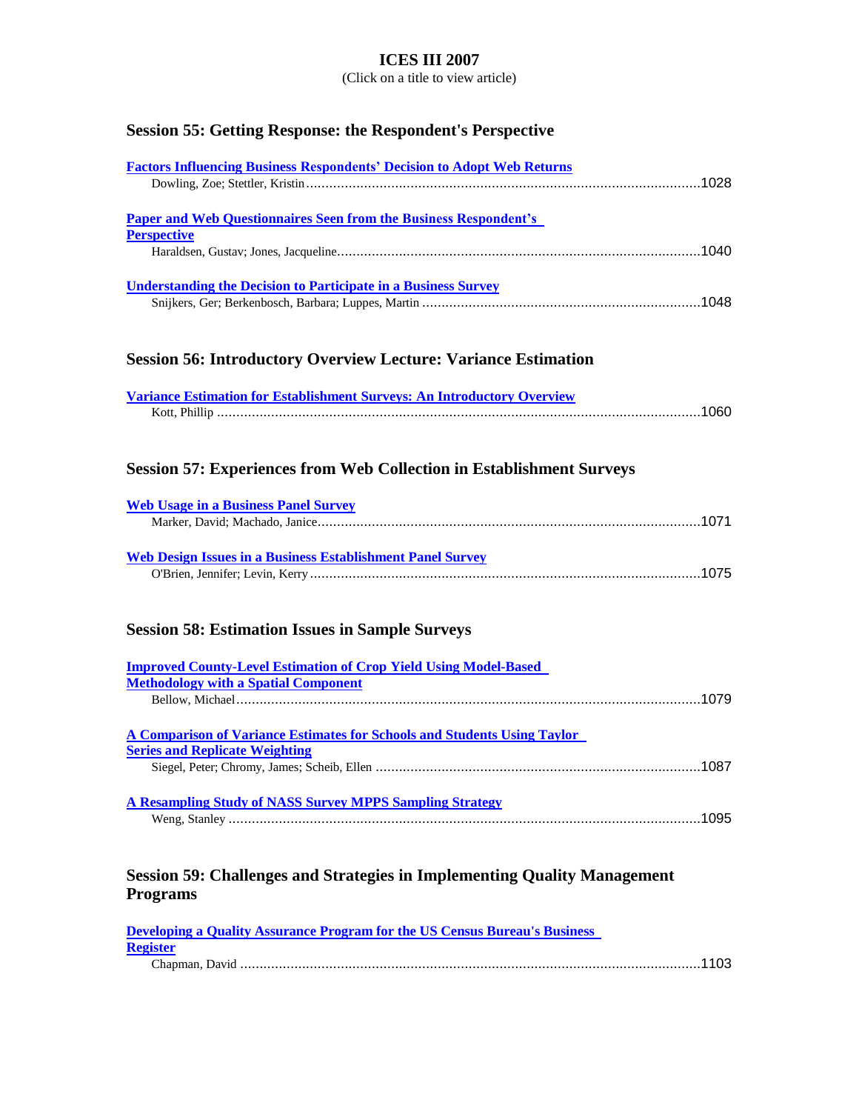(Click on a title to view article)

# **Session 55: Getting Response: the Respondent's Perspective**

| <b>Factors Influencing Business Respondents' Decision to Adopt Web Returns</b>                                         |
|------------------------------------------------------------------------------------------------------------------------|
|                                                                                                                        |
|                                                                                                                        |
| <b>Paper and Web Questionnaires Seen from the Business Respondent's</b>                                                |
| <b>Perspective</b>                                                                                                     |
|                                                                                                                        |
|                                                                                                                        |
| <b>Understanding the Decision to Participate in a Business Survey</b>                                                  |
|                                                                                                                        |
|                                                                                                                        |
|                                                                                                                        |
| <b>Session 56: Introductory Overview Lecture: Variance Estimation</b>                                                  |
|                                                                                                                        |
| Variance Estimation for Establishment Surveys: An Introductory Overview                                                |
|                                                                                                                        |
|                                                                                                                        |
|                                                                                                                        |
| <b>Session 57: Experiences from Web Collection in Establishment Surveys</b>                                            |
|                                                                                                                        |
| <b>Web Usage in a Business Panel Survey</b>                                                                            |
|                                                                                                                        |
|                                                                                                                        |
| <b>Web Design Issues in a Business Establishment Panel Survey</b>                                                      |
|                                                                                                                        |
|                                                                                                                        |
|                                                                                                                        |
| <b>Session 58: Estimation Issues in Sample Surveys</b>                                                                 |
|                                                                                                                        |
| <b>Improved County-Level Estimation of Crop Yield Using Model-Based</b><br><b>Methodology with a Spatial Component</b> |
|                                                                                                                        |
|                                                                                                                        |
| <b>A Comparison of Variance Estimates for Schools and Students Using Taylor</b>                                        |
| <b>Series and Replicate Weighting</b>                                                                                  |
|                                                                                                                        |
|                                                                                                                        |
| <b>A Resampling Study of NASS Survey MPPS Sampling Strategy</b>                                                        |
|                                                                                                                        |
|                                                                                                                        |
|                                                                                                                        |
| <b>Session 59: Challenges and Strategies in Implementing Quality Management</b>                                        |
| <b>Programs</b>                                                                                                        |
|                                                                                                                        |
| <b>Developing a Quality Assurance Program for the US Census Bureau's Business</b>                                      |
| <b>Register</b>                                                                                                        |

Chapman, David .......................................................................................................................1103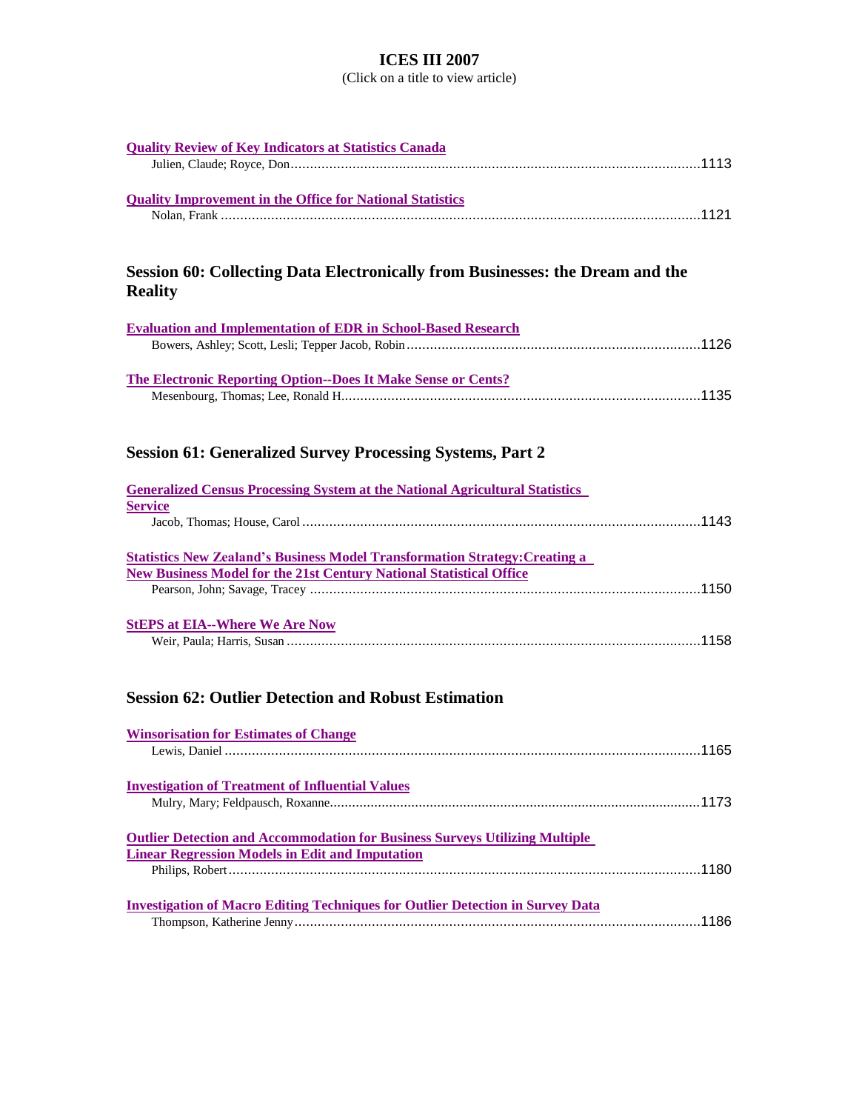| <b>Quality Review of Key Indicators at Statistics Canada</b>                          |
|---------------------------------------------------------------------------------------|
|                                                                                       |
|                                                                                       |
| <b>Quality Improvement in the Office for National Statistics</b>                      |
|                                                                                       |
|                                                                                       |
|                                                                                       |
| Session 60: Collecting Data Electronically from Businesses: the Dream and the         |
|                                                                                       |
| <b>Reality</b>                                                                        |
|                                                                                       |
| <b>Evaluation and Implementation of EDR in School-Based Research</b>                  |
|                                                                                       |
|                                                                                       |
| <b>The Electronic Reporting Option--Does It Make Sense or Cents?</b>                  |
|                                                                                       |
|                                                                                       |
|                                                                                       |
| <b>Session 61: Generalized Survey Processing Systems, Part 2</b>                      |
|                                                                                       |
| <b>Generalized Census Processing System at the National Agricultural Statistics</b>   |
| <b>Service</b>                                                                        |
|                                                                                       |
|                                                                                       |
| <b>Statistics New Zealand's Business Model Transformation Strategy: Creating a</b>    |
| <b>New Business Model for the 21st Century National Statistical Office</b>            |
|                                                                                       |
|                                                                                       |
| <b>StEPS at EIA--Where We Are Now</b>                                                 |
|                                                                                       |
|                                                                                       |
|                                                                                       |
| <b>Session 62: Outlier Detection and Robust Estimation</b>                            |
|                                                                                       |
|                                                                                       |
| <b>Winsorisation for Estimates of Change</b>                                          |
|                                                                                       |
|                                                                                       |
| <b>Investigation of Treatment of Influential Values</b>                               |
|                                                                                       |
|                                                                                       |
| <b>Outlier Detection and Accommodation for Business Surveys Utilizing Multiple</b>    |
| <b>Linear Regression Models in Edit and Imputation</b>                                |
|                                                                                       |
|                                                                                       |
| <b>Investigation of Macro Editing Techniques for Outlier Detection in Survey Data</b> |
|                                                                                       |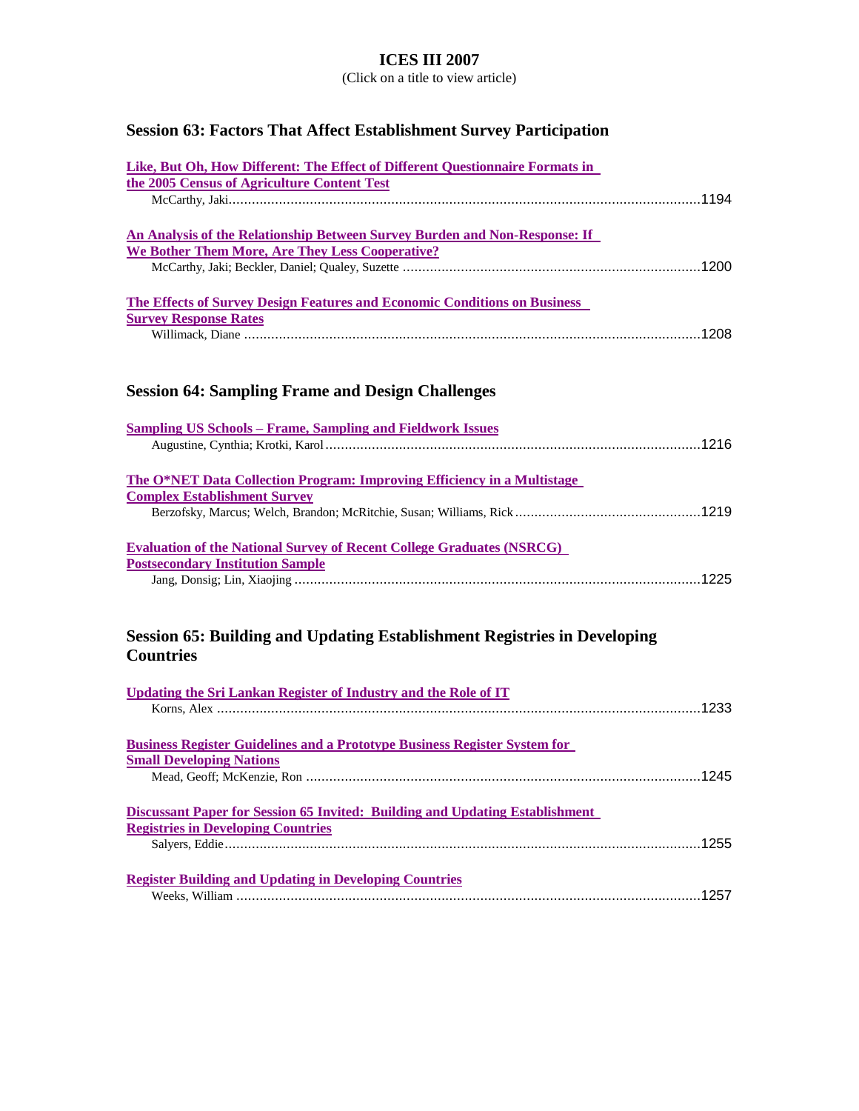(Click on a title to view article)

# **Session 63: Factors That Affect Establishment Survey Participation**

| Like, But Oh, How Different: The Effect of Different Questionnaire Formats in |      |
|-------------------------------------------------------------------------------|------|
| the 2005 Census of Agriculture Content Test                                   |      |
|                                                                               | 1194 |
|                                                                               |      |
| An Analysis of the Relationship Between Survey Burden and Non-Response: If    |      |
| We Bother Them More, Are They Less Cooperative?                               |      |
|                                                                               |      |
|                                                                               |      |
| The Effects of Survey Design Features and Economic Conditions on Business     |      |
| <b>Survey Response Rates</b>                                                  |      |
|                                                                               |      |

# **Session 64: Sampling Frame and Design Challenges**

| <b>Sampling US Schools – Frame, Sampling and Fieldwork Issues</b>            |      |
|------------------------------------------------------------------------------|------|
|                                                                              | 1216 |
| The O*NET Data Collection Program: Improving Efficiency in a Multistage      |      |
| <b>Complex Establishment Survey</b>                                          |      |
|                                                                              |      |
| <b>Evaluation of the National Survey of Recent College Graduates (NSRCG)</b> |      |
| <b>Postsecondary Institution Sample</b>                                      |      |
|                                                                              |      |

### **Session 65: Building and Updating Establishment Registries in Developing Countries**

| Updating the Sri Lankan Register of Industry and the Role of IT                  |      |
|----------------------------------------------------------------------------------|------|
|                                                                                  |      |
|                                                                                  |      |
| <b>Business Register Guidelines and a Prototype Business Register System for</b> |      |
| <b>Small Developing Nations</b>                                                  |      |
|                                                                                  | 1245 |
| Discussant Paper for Session 65 Invited: Building and Updating Establishment     |      |
| <b>Registries in Developing Countries</b>                                        |      |
|                                                                                  | 1255 |
|                                                                                  |      |
| <b>Register Building and Updating in Developing Countries</b>                    |      |
|                                                                                  |      |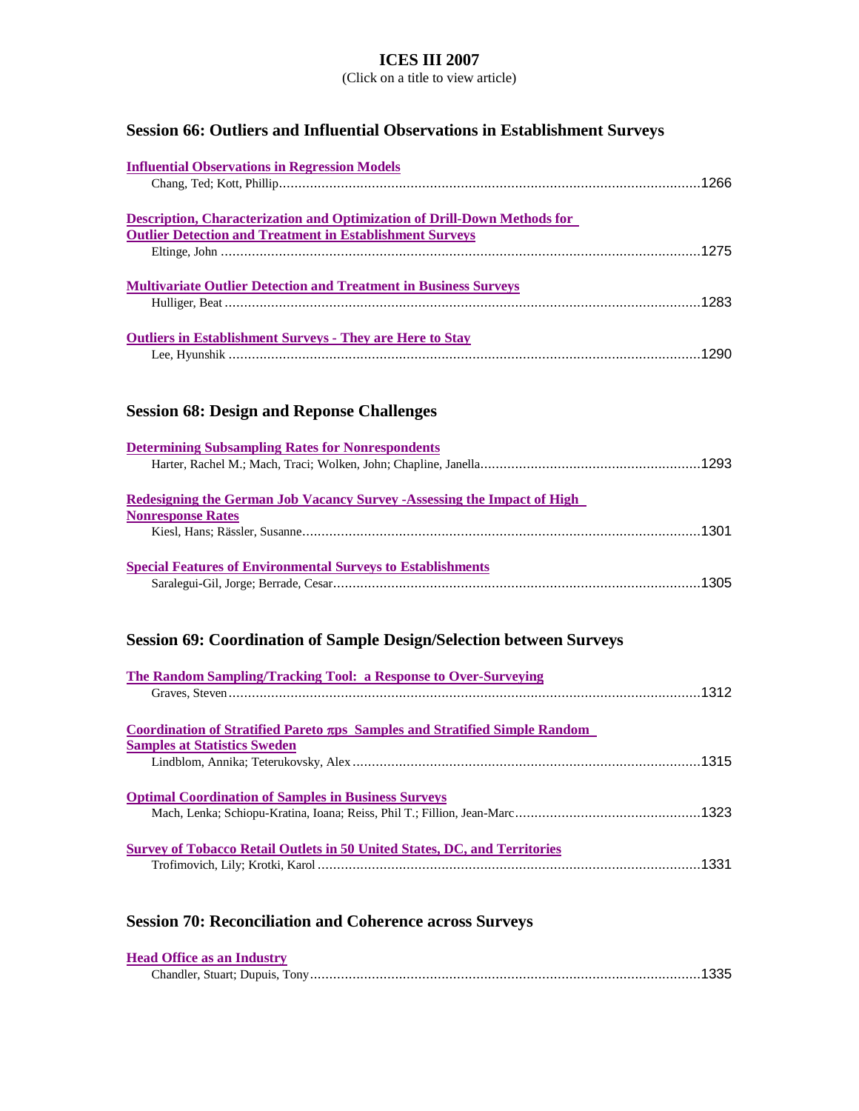(Click on a title to view article)

# **Session 66: Outliers and Influential Observations in Establishment Surveys**

| <b>Influential Observations in Regression Models</b>                            |  |
|---------------------------------------------------------------------------------|--|
|                                                                                 |  |
|                                                                                 |  |
| <b>Description, Characterization and Optimization of Drill-Down Methods for</b> |  |
| <b>Outlier Detection and Treatment in Establishment Surveys</b>                 |  |
|                                                                                 |  |
|                                                                                 |  |
| <b>Multivariate Outlier Detection and Treatment in Business Surveys</b>         |  |
|                                                                                 |  |
|                                                                                 |  |
| <b>Outliers in Establishment Surveys - They are Here to Stay</b>                |  |
|                                                                                 |  |
|                                                                                 |  |
|                                                                                 |  |
| $\alpha$ , $\alpha$ , $\alpha$ , $\alpha$ , $\alpha$ , $\alpha$                 |  |

#### **Session 68: Design and Reponse Challenges**

| <b>Determining Subsampling Rates for Nonrespondents</b>                         |  |
|---------------------------------------------------------------------------------|--|
|                                                                                 |  |
|                                                                                 |  |
| <b>Redesigning the German Job Vacancy Survey - Assessing the Impact of High</b> |  |
| <b>Nonresponse Rates</b>                                                        |  |
|                                                                                 |  |
|                                                                                 |  |
| <b>Special Features of Environmental Surveys to Establishments</b>              |  |
|                                                                                 |  |

# **Session 69: Coordination of Sample Design/Selection between Surveys**

| The Random Sampling/Tracking Tool: a Response to Over-Surveying                  |  |
|----------------------------------------------------------------------------------|--|
|                                                                                  |  |
|                                                                                  |  |
| Coordination of Stratified Pareto $\pi$ ps Samples and Stratified Simple Random  |  |
| <b>Samples at Statistics Sweden</b>                                              |  |
|                                                                                  |  |
| <b>Optimal Coordination of Samples in Business Surveys</b>                       |  |
|                                                                                  |  |
|                                                                                  |  |
| <b>Survey of Tobacco Retail Outlets in 50 United States, DC, and Territories</b> |  |
|                                                                                  |  |
|                                                                                  |  |

# **Session 70: Reconciliation and Coherence across Surveys**

| <b>Head Office as an Industry</b> |  |
|-----------------------------------|--|
|                                   |  |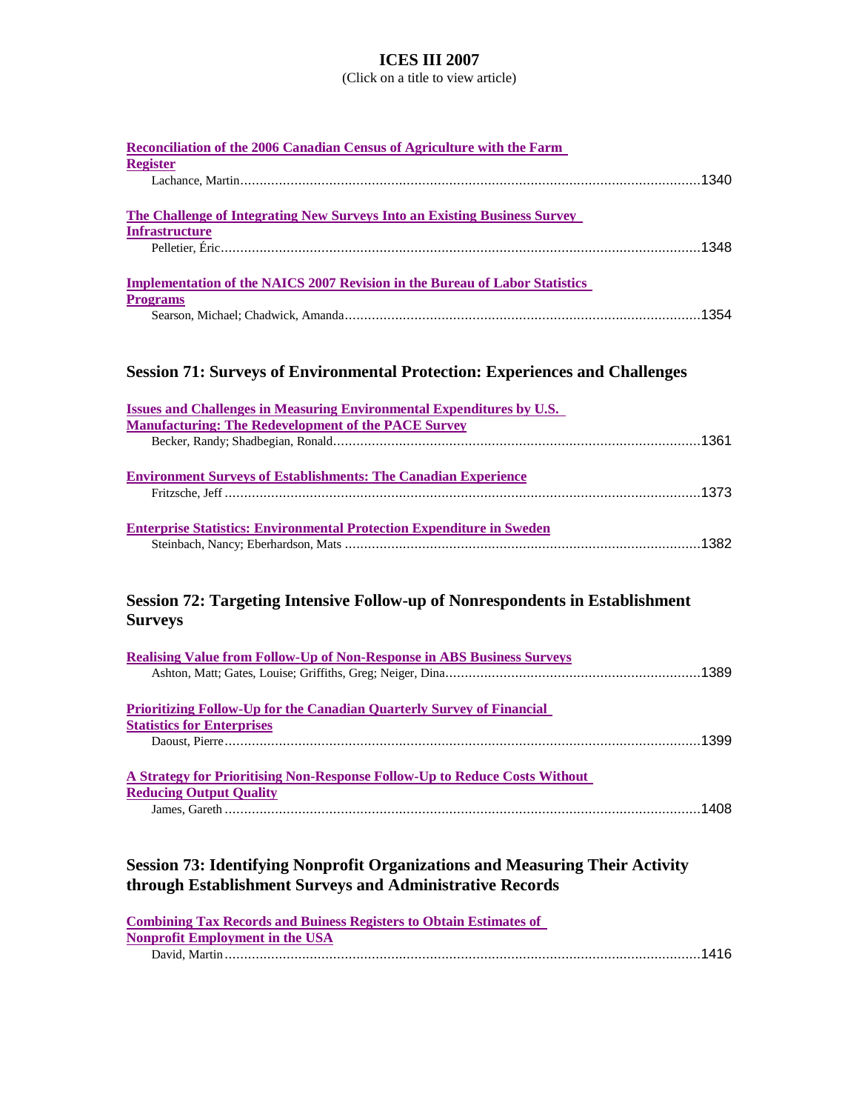| Reconciliation of the 2006 Canadian Census of Agriculture with the Farm<br><b>Register</b>                                                      |
|-------------------------------------------------------------------------------------------------------------------------------------------------|
|                                                                                                                                                 |
| <b>The Challenge of Integrating New Surveys Into an Existing Business Survey</b><br><b>Infrastructure</b>                                       |
|                                                                                                                                                 |
| <b>Implementation of the NAICS 2007 Revision in the Bureau of Labor Statistics</b><br><b>Programs</b>                                           |
|                                                                                                                                                 |
| <b>Session 71: Surveys of Environmental Protection: Experiences and Challenges</b>                                                              |
| <b>Issues and Challenges in Measuring Environmental Expenditures by U.S.</b>                                                                    |
| <b>Manufacturing: The Redevelopment of the PACE Survey</b>                                                                                      |
| <b>Environment Surveys of Establishments: The Canadian Experience</b>                                                                           |
| <b>Enterprise Statistics: Environmental Protection Expenditure in Sweden</b>                                                                    |
| Session 72: Targeting Intensive Follow-up of Nonrespondents in Establishment<br><b>Surveys</b>                                                  |
| <b>Realising Value from Follow-Up of Non-Response in ABS Business Surveys</b>                                                                   |
| <b>Prioritizing Follow-Up for the Canadian Quarterly Survey of Financial</b>                                                                    |
| <b>Statistics for Enterprises</b>                                                                                                               |
| A Strategy for Prioritising Non-Response Follow-Up to Reduce Costs Without                                                                      |
| <b>Reducing Output Quality</b>                                                                                                                  |
| <b>Session 73: Identifying Nonprofit Organizations and Measuring Their Activity</b><br>through Establishment Surveys and Administrative Records |

| <b>Combining Tax Records and Buiness Registers to Obtain Estimates of</b> |  |
|---------------------------------------------------------------------------|--|
| <b>Nonprofit Employment in the USA</b>                                    |  |
|                                                                           |  |